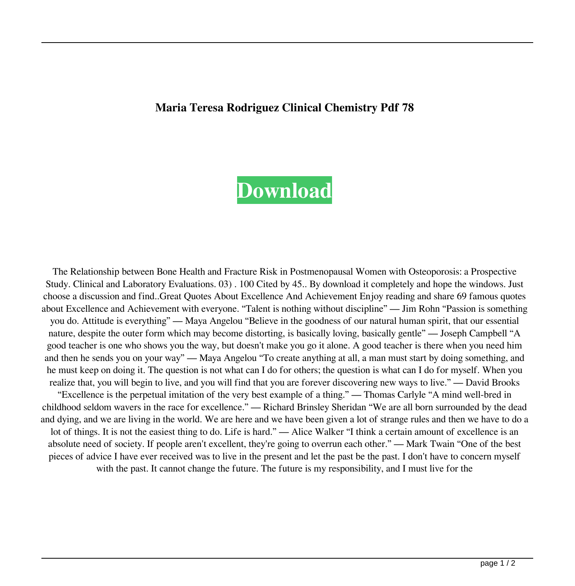## **Maria Teresa Rodriguez Clinical Chemistry Pdf 78**

## **[Download](http://evacdir.com/ZG93bmxvYWR8aGgxTVdwaGJIeDhNVFkxTWpjME1EZzJObng4TWpVM05IeDhLRTBwSUhKbFlXUXRZbXh2WnlCYlJtRnpkQ0JIUlU1ZA/contemplate?adirondack=bWFyaWEgdGVyZXNhIHJvZHJpZ3VleiBjbGluaWNhbCBjaGVtaXN0cnkgcGRmIDc4bWF.epidemic.prodietpills)**

The Relationship between Bone Health and Fracture Risk in Postmenopausal Women with Osteoporosis: a Prospective Study. Clinical and Laboratory Evaluations. 03) . 100 Cited by 45.. By download it completely and hope the windows. Just choose a discussion and find..Great Quotes About Excellence And Achievement Enjoy reading and share 69 famous quotes about Excellence and Achievement with everyone. "Talent is nothing without discipline" ― Jim Rohn "Passion is something you do. Attitude is everything" ― Maya Angelou "Believe in the goodness of our natural human spirit, that our essential nature, despite the outer form which may become distorting, is basically loving, basically gentle" ― Joseph Campbell "A good teacher is one who shows you the way, but doesn't make you go it alone. A good teacher is there when you need him and then he sends you on your way" ― Maya Angelou "To create anything at all, a man must start by doing something, and he must keep on doing it. The question is not what can I do for others; the question is what can I do for myself. When you realize that, you will begin to live, and you will find that you are forever discovering new ways to live." ― David Brooks "Excellence is the perpetual imitation of the very best example of a thing." ― Thomas Carlyle "A mind well-bred in childhood seldom wavers in the race for excellence." ― Richard Brinsley Sheridan "We are all born surrounded by the dead and dying, and we are living in the world. We are here and we have been given a lot of strange rules and then we have to do a lot of things. It is not the easiest thing to do. Life is hard." — Alice Walker "I think a certain amount of excellence is an absolute need of society. If people aren't excellent, they're going to overrun each other." ― Mark Twain "One of the best pieces of advice I have ever received was to live in the present and let the past be the past. I don't have to concern myself with the past. It cannot change the future. The future is my responsibility, and I must live for the